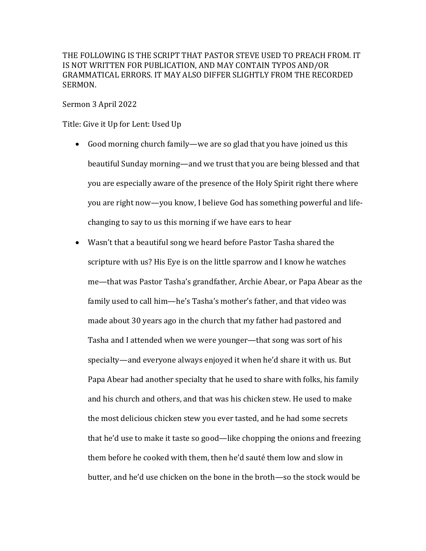THE FOLLOWING IS THE SCRIPT THAT PASTOR STEVE USED TO PREACH FROM. IT IS NOT WRITTEN FOR PUBLICATION, AND MAY CONTAIN TYPOS AND/OR GRAMMATICAL ERRORS. IT MAY ALSO DIFFER SLIGHTLY FROM THE RECORDED SERMON.

## Sermon 3 April 2022

Title: Give it Up for Lent: Used Up

- Good morning church family—we are so glad that you have joined us this beautiful Sunday morning—and we trust that you are being blessed and that you are especially aware of the presence of the Holy Spirit right there where you are right now—you know, I believe God has something powerful and lifechanging to say to us this morning if we have ears to hear
- Wasn't that a beautiful song we heard before Pastor Tasha shared the scripture with us? His Eye is on the little sparrow and I know he watches me—that was Pastor Tasha's grandfather, Archie Abear, or Papa Abear as the family used to call him—he's Tasha's mother's father, and that video was made about 30 years ago in the church that my father had pastored and Tasha and I attended when we were younger—that song was sort of his specialty—and everyone always enjoyed it when he'd share it with us. But Papa Abear had another specialty that he used to share with folks, his family and his church and others, and that was his chicken stew. He used to make the most delicious chicken stew you ever tasted, and he had some secrets that he'd use to make it taste so good—like chopping the onions and freezing them before he cooked with them, then he'd sauté them low and slow in butter, and he'd use chicken on the bone in the broth—so the stock would be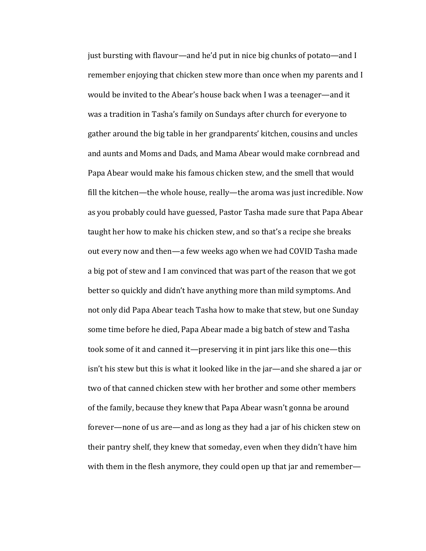just bursting with flavour—and he'd put in nice big chunks of potato—and I remember enjoying that chicken stew more than once when my parents and I would be invited to the Abear's house back when I was a teenager—and it was a tradition in Tasha's family on Sundays after church for everyone to gather around the big table in her grandparents' kitchen, cousins and uncles and aunts and Moms and Dads, and Mama Abear would make cornbread and Papa Abear would make his famous chicken stew, and the smell that would fill the kitchen—the whole house, really—the aroma was just incredible. Now as you probably could have guessed, Pastor Tasha made sure that Papa Abear taught her how to make his chicken stew, and so that's a recipe she breaks out every now and then—a few weeks ago when we had COVID Tasha made a big pot of stew and I am convinced that was part of the reason that we got better so quickly and didn't have anything more than mild symptoms. And not only did Papa Abear teach Tasha how to make that stew, but one Sunday some time before he died, Papa Abear made a big batch of stew and Tasha took some of it and canned it—preserving it in pint jars like this one—this isn't his stew but this is what it looked like in the jar—and she shared a jar or two of that canned chicken stew with her brother and some other members of the family, because they knew that Papa Abear wasn't gonna be around forever—none of us are—and as long as they had a jar of his chicken stew on their pantry shelf, they knew that someday, even when they didn't have him with them in the flesh anymore, they could open up that jar and remember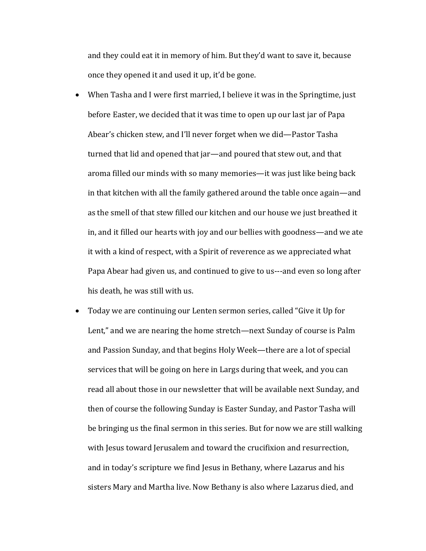and they could eat it in memory of him. But they'd want to save it, because once they opened it and used it up, it'd be gone.

- When Tasha and I were first married, I believe it was in the Springtime, just before Easter, we decided that it was time to open up our last jar of Papa Abear's chicken stew, and I'll never forget when we did—Pastor Tasha turned that lid and opened that jar—and poured that stew out, and that aroma filled our minds with so many memories—it was just like being back in that kitchen with all the family gathered around the table once again—and as the smell of that stew filled our kitchen and our house we just breathed it in, and it filled our hearts with joy and our bellies with goodness—and we ate it with a kind of respect, with a Spirit of reverence as we appreciated what Papa Abear had given us, and continued to give to us---and even so long after his death, he was still with us.
- Today we are continuing our Lenten sermon series, called "Give it Up for Lent," and we are nearing the home stretch—next Sunday of course is Palm and Passion Sunday, and that begins Holy Week—there are a lot of special services that will be going on here in Largs during that week, and you can read all about those in our newsletter that will be available next Sunday, and then of course the following Sunday is Easter Sunday, and Pastor Tasha will be bringing us the final sermon in this series. But for now we are still walking with Jesus toward Jerusalem and toward the crucifixion and resurrection, and in today's scripture we find Jesus in Bethany, where Lazarus and his sisters Mary and Martha live. Now Bethany is also where Lazarus died, and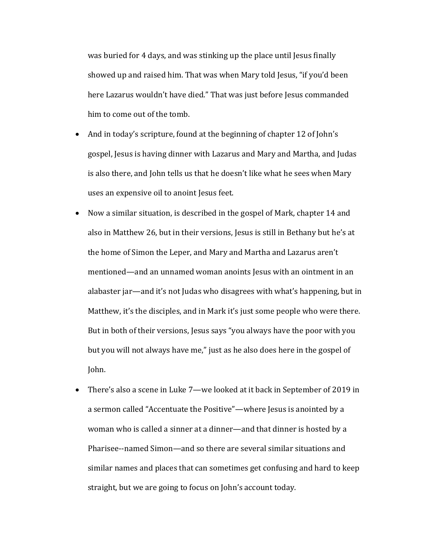was buried for 4 days, and was stinking up the place until Jesus finally showed up and raised him. That was when Mary told Jesus, "if you'd been here Lazarus wouldn't have died." That was just before Jesus commanded him to come out of the tomb.

- And in today's scripture, found at the beginning of chapter 12 of John's gospel, Jesus is having dinner with Lazarus and Mary and Martha, and Judas is also there, and John tells us that he doesn't like what he sees when Mary uses an expensive oil to anoint Jesus feet.
- Now a similar situation, is described in the gospel of Mark, chapter 14 and also in Matthew 26, but in their versions, Jesus is still in Bethany but he's at the home of Simon the Leper, and Mary and Martha and Lazarus aren't mentioned—and an unnamed woman anoints Jesus with an ointment in an alabaster jar—and it's not Judas who disagrees with what's happening, but in Matthew, it's the disciples, and in Mark it's just some people who were there. But in both of their versions, Jesus says "you always have the poor with you but you will not always have me," just as he also does here in the gospel of John.
- There's also a scene in Luke 7—we looked at it back in September of 2019 in a sermon called "Accentuate the Positive"—where Jesus is anointed by a woman who is called a sinner at a dinner—and that dinner is hosted by a Pharisee--named Simon—and so there are several similar situations and similar names and places that can sometimes get confusing and hard to keep straight, but we are going to focus on John's account today.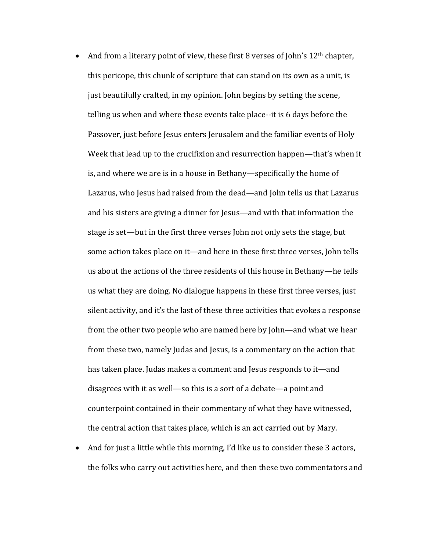- And from a literary point of view, these first 8 verses of John's  $12<sup>th</sup>$  chapter, this pericope, this chunk of scripture that can stand on its own as a unit, is just beautifully crafted, in my opinion. John begins by setting the scene, telling us when and where these events take place--it is 6 days before the Passover, just before Jesus enters Jerusalem and the familiar events of Holy Week that lead up to the crucifixion and resurrection happen—that's when it is, and where we are is in a house in Bethany—specifically the home of Lazarus, who Jesus had raised from the dead—and John tells us that Lazarus and his sisters are giving a dinner for Jesus—and with that information the stage is set—but in the first three verses John not only sets the stage, but some action takes place on it—and here in these first three verses, John tells us about the actions of the three residents of this house in Bethany—he tells us what they are doing. No dialogue happens in these first three verses, just silent activity, and it's the last of these three activities that evokes a response from the other two people who are named here by John—and what we hear from these two, namely Judas and Jesus, is a commentary on the action that has taken place. Judas makes a comment and Jesus responds to it—and disagrees with it as well—so this is a sort of a debate—a point and counterpoint contained in their commentary of what they have witnessed, the central action that takes place, which is an act carried out by Mary.
- And for just a little while this morning, I'd like us to consider these 3 actors, the folks who carry out activities here, and then these two commentators and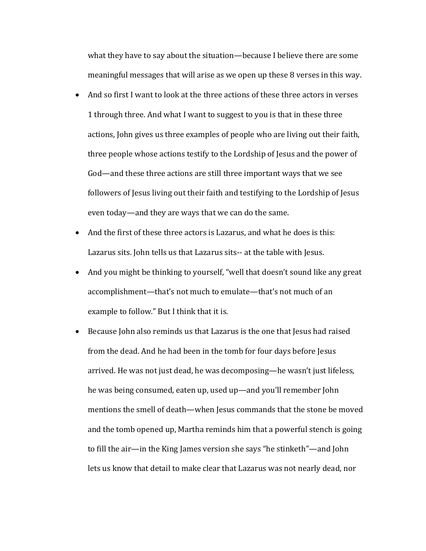what they have to say about the situation—because I believe there are some meaningful messages that will arise as we open up these 8 verses in this way.

- And so first I want to look at the three actions of these three actors in verses 1 through three. And what I want to suggest to you is that in these three actions, John gives us three examples of people who are living out their faith, three people whose actions testify to the Lordship of Jesus and the power of God—and these three actions are still three important ways that we see followers of Jesus living out their faith and testifying to the Lordship of Jesus even today—and they are ways that we can do the same.
- And the first of these three actors is Lazarus, and what he does is this: Lazarus sits. John tells us that Lazarus sits-- at the table with Jesus.
- And you might be thinking to yourself, "well that doesn't sound like any great accomplishment—that's not much to emulate—that's not much of an example to follow." But I think that it is.
- Because John also reminds us that Lazarus is the one that Jesus had raised from the dead. And he had been in the tomb for four days before Jesus arrived. He was not just dead, he was decomposing—he wasn't just lifeless, he was being consumed, eaten up, used up—and you'll remember John mentions the smell of death—when Jesus commands that the stone be moved and the tomb opened up, Martha reminds him that a powerful stench is going to fill the air—in the King James version she says "he stinketh"—and John lets us know that detail to make clear that Lazarus was not nearly dead, nor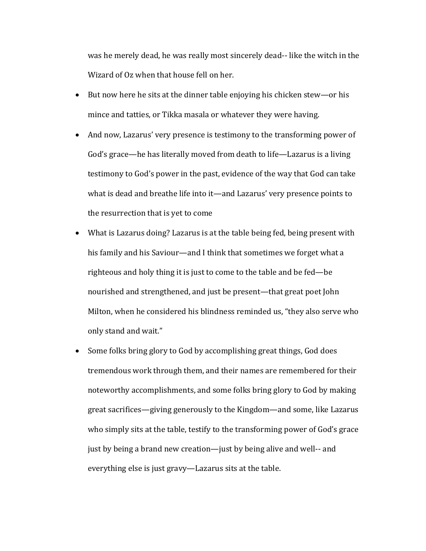was he merely dead, he was really most sincerely dead-- like the witch in the Wizard of Oz when that house fell on her.

- But now here he sits at the dinner table enjoying his chicken stew—or his mince and tatties, or Tikka masala or whatever they were having.
- And now, Lazarus' very presence is testimony to the transforming power of God's grace—he has literally moved from death to life—Lazarus is a living testimony to God's power in the past, evidence of the way that God can take what is dead and breathe life into it—and Lazarus' very presence points to the resurrection that is yet to come
- What is Lazarus doing? Lazarus is at the table being fed, being present with his family and his Saviour—and I think that sometimes we forget what a righteous and holy thing it is just to come to the table and be  $fed$ —be nourished and strengthened, and just be present—that great poet John Milton, when he considered his blindness reminded us, "they also serve who only stand and wait."
- Some folks bring glory to God by accomplishing great things, God does tremendous work through them, and their names are remembered for their noteworthy accomplishments, and some folks bring glory to God by making great sacrifices—giving generously to the Kingdom—and some, like Lazarus who simply sits at the table, testify to the transforming power of God's grace just by being a brand new creation—just by being alive and well-- and everything else is just gravy—Lazarus sits at the table.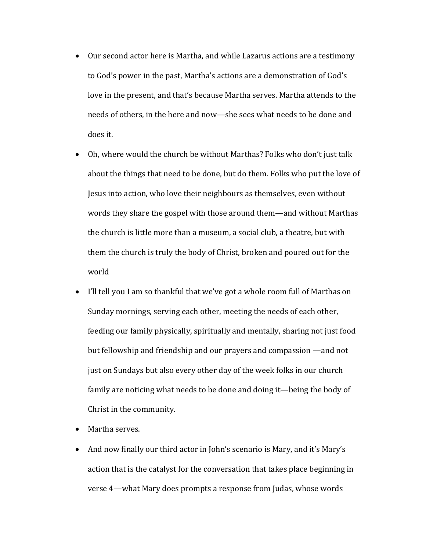- Our second actor here is Martha, and while Lazarus actions are a testimony to God's power in the past, Martha's actions are a demonstration of God's love in the present, and that's because Martha serves. Martha attends to the needs of others, in the here and now—she sees what needs to be done and does it.
- Oh, where would the church be without Marthas? Folks who don't just talk about the things that need to be done, but do them. Folks who put the love of Jesus into action, who love their neighbours as themselves, even without words they share the gospel with those around them—and without Marthas the church is little more than a museum, a social club, a theatre, but with them the church is truly the body of Christ, broken and poured out for the world
- I'll tell you I am so thankful that we've got a whole room full of Marthas on Sunday mornings, serving each other, meeting the needs of each other, feeding our family physically, spiritually and mentally, sharing not just food but fellowship and friendship and our prayers and compassion —and not just on Sundays but also every other day of the week folks in our church family are noticing what needs to be done and doing it—being the body of Christ in the community.
- Martha serves.
- And now finally our third actor in John's scenario is Mary, and it's Mary's action that is the catalyst for the conversation that takes place beginning in verse 4—what Mary does prompts a response from Judas, whose words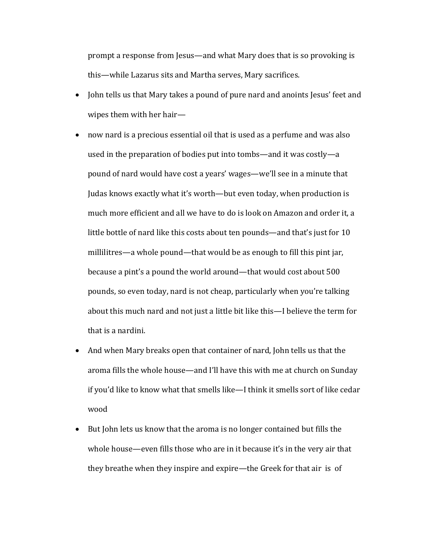prompt a response from Jesus—and what Mary does that is so provoking is this—while Lazarus sits and Martha serves, Mary sacrifices.

- John tells us that Mary takes a pound of pure nard and anoints Jesus' feet and wipes them with her hair-
- now nard is a precious essential oil that is used as a perfume and was also used in the preparation of bodies put into tombs—and it was costly—a pound of nard would have cost a years' wages—we'll see in a minute that Judas knows exactly what it's worth—but even today, when production is much more efficient and all we have to do is look on Amazon and order it, a little bottle of nard like this costs about ten pounds—and that's just for 10 millilitres—a whole pound—that would be as enough to fill this pint jar, because a pint's a pound the world around—that would cost about 500 pounds, so even today, nard is not cheap, particularly when you're talking about this much nard and not just a little bit like this—I believe the term for that is a nardini.
- And when Mary breaks open that container of nard, John tells us that the aroma fills the whole house—and I'll have this with me at church on Sunday if you'd like to know what that smells like—I think it smells sort of like cedar wood
- But John lets us know that the aroma is no longer contained but fills the whole house—even fills those who are in it because it's in the very air that they breathe when they inspire and expire—the Greek for that air is of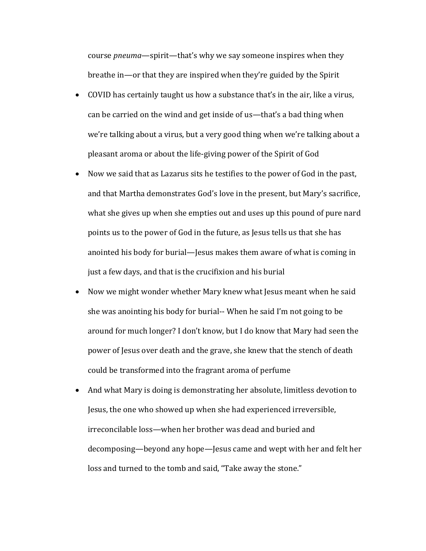course *pneuma*—spirit—that's why we say someone inspires when they breathe in—or that they are inspired when they're guided by the Spirit

- COVID has certainly taught us how a substance that's in the air, like a virus, can be carried on the wind and get inside of us—that's a bad thing when we're talking about a virus, but a very good thing when we're talking about a pleasant aroma or about the life-giving power of the Spirit of God
- Now we said that as Lazarus sits he testifies to the power of God in the past, and that Martha demonstrates God's love in the present, but Mary's sacrifice, what she gives up when she empties out and uses up this pound of pure nard points us to the power of God in the future, as Jesus tells us that she has anointed his body for burial—Jesus makes them aware of what is coming in just a few days, and that is the crucifixion and his burial
- Now we might wonder whether Mary knew what Jesus meant when he said she was anointing his body for burial-- When he said I'm not going to be around for much longer? I don't know, but I do know that Mary had seen the power of Jesus over death and the grave, she knew that the stench of death could be transformed into the fragrant aroma of perfume
- And what Mary is doing is demonstrating her absolute, limitless devotion to Jesus, the one who showed up when she had experienced irreversible, irreconcilable loss—when her brother was dead and buried and decomposing—beyond any hope—Jesus came and wept with her and felt her loss and turned to the tomb and said, "Take away the stone."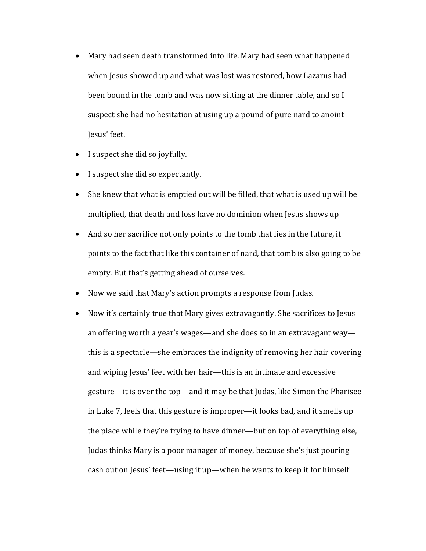- Mary had seen death transformed into life. Mary had seen what happened when Jesus showed up and what was lost was restored, how Lazarus had been bound in the tomb and was now sitting at the dinner table, and so I suspect she had no hesitation at using up a pound of pure nard to anoint Jesus' feet.
- I suspect she did so joyfully.
- I suspect she did so expectantly.
- She knew that what is emptied out will be filled, that what is used up will be multiplied, that death and loss have no dominion when Jesus shows up
- And so her sacrifice not only points to the tomb that lies in the future, it points to the fact that like this container of nard, that tomb is also going to be empty. But that's getting ahead of ourselves.
- Now we said that Mary's action prompts a response from Judas.
- Now it's certainly true that Mary gives extravagantly. She sacrifices to Jesus an offering worth a year's wages—and she does so in an extravagant way this is a spectacle—she embraces the indignity of removing her hair covering and wiping Jesus' feet with her hair—this is an intimate and excessive gesture—it is over the top—and it may be that Judas, like Simon the Pharisee in Luke 7, feels that this gesture is improper—it looks bad, and it smells up the place while they're trying to have dinner-but on top of everything else, Judas thinks Mary is a poor manager of money, because she's just pouring cash out on Jesus' feet—using it up—when he wants to keep it for himself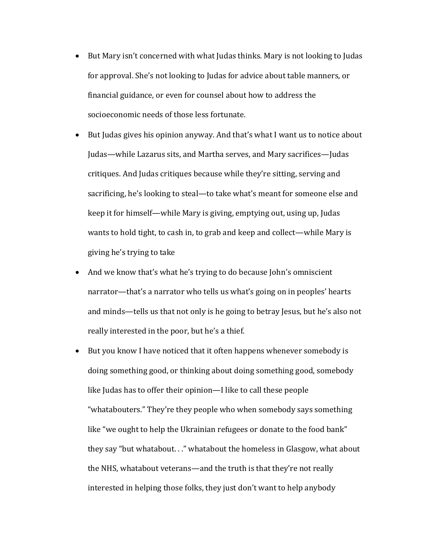- But Mary isn't concerned with what Judas thinks. Mary is not looking to Judas for approval. She's not looking to Judas for advice about table manners, or financial guidance, or even for counsel about how to address the socioeconomic needs of those less fortunate.
- But Judas gives his opinion anyway. And that's what I want us to notice about Judas—while Lazarus sits, and Martha serves, and Mary sacrifices—Judas critiques. And Judas critiques because while they're sitting, serving and sacrificing, he's looking to steal—to take what's meant for someone else and keep it for himself—while Mary is giving, emptying out, using up, Judas wants to hold tight, to cash in, to grab and keep and collect—while Mary is giving he's trying to take
- And we know that's what he's trying to do because John's omniscient narrator—that's a narrator who tells us what's going on in peoples' hearts and minds—tells us that not only is he going to betray Jesus, but he's also not really interested in the poor, but he's a thief.
- But you know I have noticed that it often happens whenever somebody is doing something good, or thinking about doing something good, somebody like Judas has to offer their opinion—I like to call these people "whatabouters." They're they people who when somebody says something like "we ought to help the Ukrainian refugees or donate to the food bank" they say "but whatabout..." whatabout the homeless in Glasgow, what about the NHS, whatabout veterans—and the truth is that they're not really interested in helping those folks, they just don't want to help anybody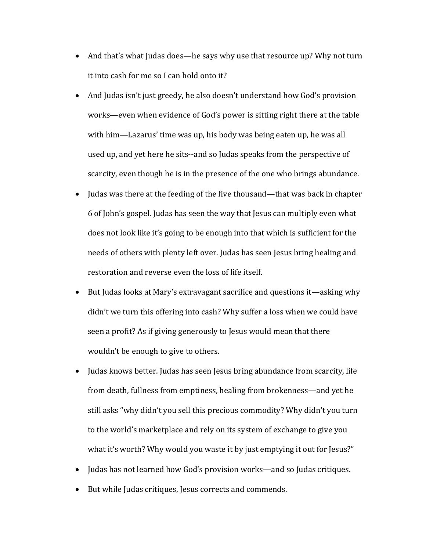- And that's what Judas does—he says why use that resource up? Why not turn it into cash for me so I can hold onto it?
- And Judas isn't just greedy, he also doesn't understand how God's provision works—even when evidence of God's power is sitting right there at the table with him—Lazarus' time was up, his body was being eaten up, he was all used up, and yet here he sits--and so Judas speaks from the perspective of scarcity, even though he is in the presence of the one who brings abundance.
- Judas was there at the feeding of the five thousand—that was back in chapter 6 of John's gospel. Judas has seen the way that Jesus can multiply even what does not look like it's going to be enough into that which is sufficient for the needs of others with plenty left over. Judas has seen Jesus bring healing and restoration and reverse even the loss of life itself.
- But Judas looks at Mary's extravagant sacrifice and questions it—asking why didn't we turn this offering into cash? Why suffer a loss when we could have seen a profit? As if giving generously to Jesus would mean that there wouldn't be enough to give to others.
- Judas knows better. Judas has seen Jesus bring abundance from scarcity, life from death, fullness from emptiness, healing from brokenness—and yet he still asks "why didn't you sell this precious commodity? Why didn't you turn to the world's marketplace and rely on its system of exchange to give you what it's worth? Why would you waste it by just emptying it out for Jesus?"
- Judas has not learned how God's provision works—and so Judas critiques.
- But while Judas critiques, Jesus corrects and commends.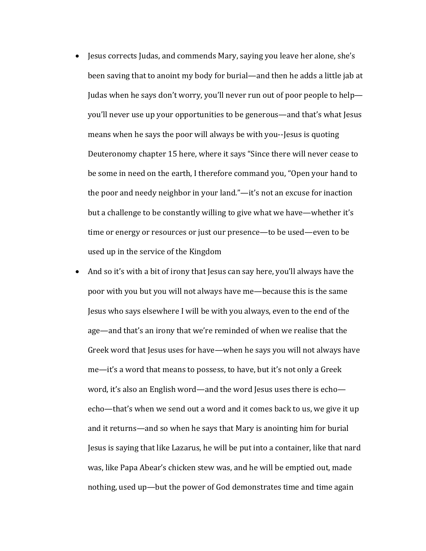- Jesus corrects Judas, and commends Mary, saying you leave her alone, she's been saving that to anoint my body for burial—and then he adds a little jab at Judas when he says don't worry, you'll never run out of poor people to help you'll never use up your opportunities to be generous—and that's what Jesus means when he says the poor will always be with you--Jesus is quoting Deuteronomy chapter 15 here, where it says "Since there will never cease to be some in need on the earth, I therefore command you, "Open your hand to the poor and needy neighbor in your land."—it's not an excuse for inaction but a challenge to be constantly willing to give what we have—whether it's time or energy or resources or just our presence—to be used—even to be used up in the service of the Kingdom
- And so it's with a bit of irony that Jesus can say here, you'll always have the poor with you but you will not always have me—because this is the same Jesus who says elsewhere I will be with you always, even to the end of the age—and that's an irony that we're reminded of when we realise that the Greek word that Jesus uses for have—when he says you will not always have  $me$ —it's a word that means to possess, to have, but it's not only a Greek word, it's also an English word—and the word Jesus uses there is echo echo—that's when we send out a word and it comes back to us, we give it up and it returns—and so when he says that Mary is anointing him for burial Jesus is saying that like Lazarus, he will be put into a container, like that nard was, like Papa Abear's chicken stew was, and he will be emptied out, made nothing, used up—but the power of God demonstrates time and time again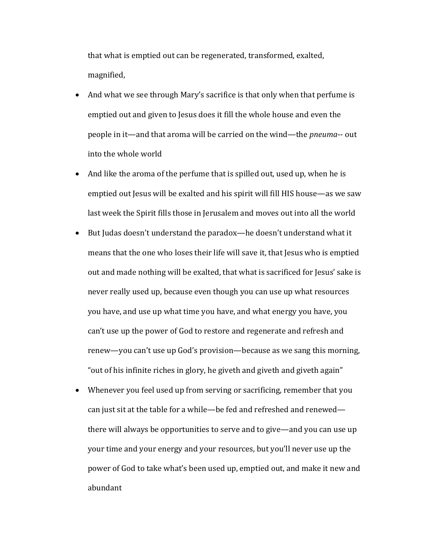that what is emptied out can be regenerated, transformed, exalted, magnified,

- And what we see through Mary's sacrifice is that only when that perfume is emptied out and given to Jesus does it fill the whole house and even the people in it—and that aroma will be carried on the wind—the *pneuma*-- out into the whole world
- And like the aroma of the perfume that is spilled out, used up, when he is emptied out Jesus will be exalted and his spirit will fill HIS house—as we saw last week the Spirit fills those in Jerusalem and moves out into all the world
- But Judas doesn't understand the paradox—he doesn't understand what it means that the one who loses their life will save it, that Jesus who is emptied out and made nothing will be exalted, that what is sacrificed for Jesus' sake is never really used up, because even though you can use up what resources you have, and use up what time you have, and what energy you have, you can't use up the power of God to restore and regenerate and refresh and renew—you can't use up God's provision—because as we sang this morning, "out of his infinite riches in glory, he giveth and giveth and giveth again"
- Whenever you feel used up from serving or sacrificing, remember that you can just sit at the table for a while—be fed and refreshed and renewed there will always be opportunities to serve and to give—and you can use up your time and your energy and your resources, but you'll never use up the power of God to take what's been used up, emptied out, and make it new and abundant